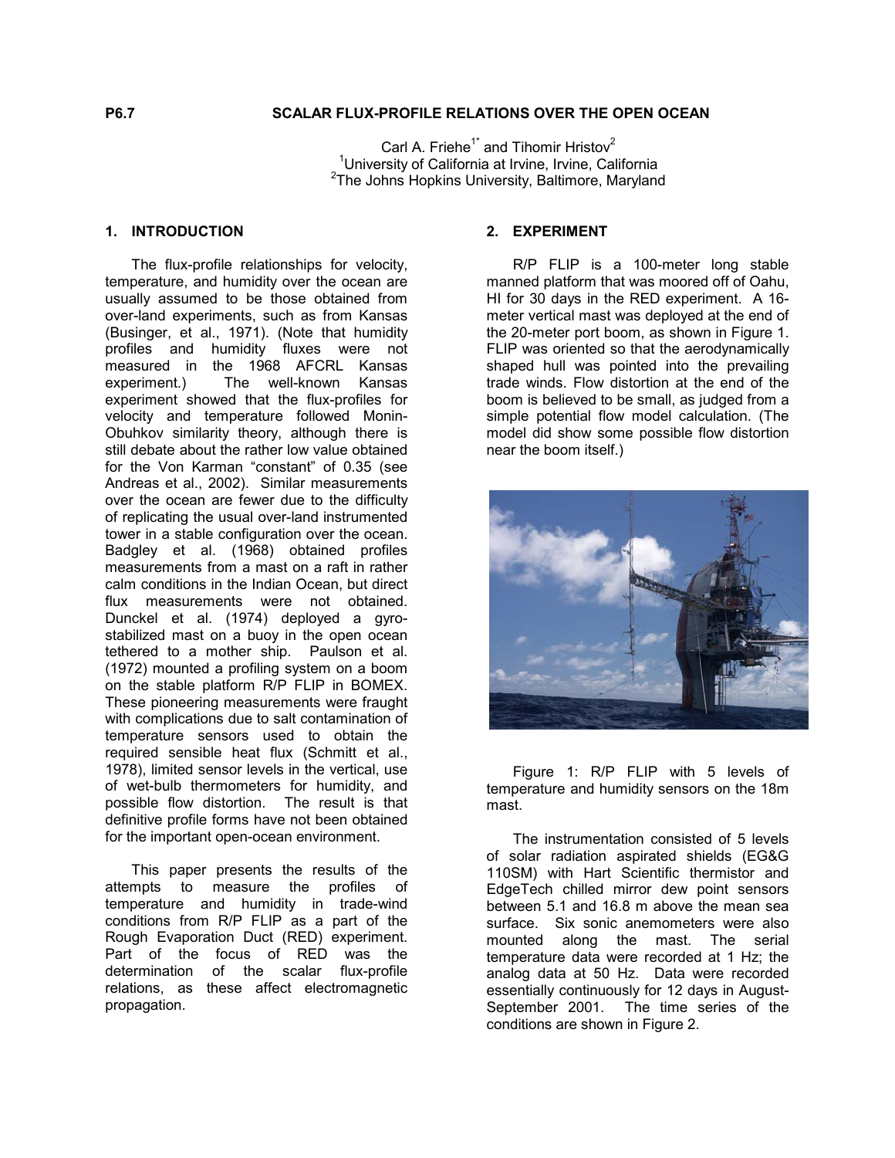## **P6.7 SCALAR FLUX-PROFILE RELATIONS OVER THE OPEN OCEAN**

Carl A. Friehe<sup>1\*</sup> and Tihomir Hristov<sup>2</sup> <sup>1</sup>University of California at Irvine, Irvine, California<br><sup>2</sup>The Johns Henking University, Poltimere, Mandang  $2$ The Johns Hopkins University, Baltimore, Maryland

### **1. INTRODUCTION**

The flux-profile relationships for velocity, temperature, and humidity over the ocean are usually assumed to be those obtained from over-land experiments, such as from Kansas (Businger, et al., 1971). (Note that humidity profiles and humidity fluxes were not measured in the 1968 AFCRL Kansas experiment.) The well-known Kansas experiment showed that the flux-profiles for velocity and temperature followed Monin-Obuhkov similarity theory, although there is still debate about the rather low value obtained for the Von Karman "constant" of 0.35 (see Andreas et al., 2002). Similar measurements over the ocean are fewer due to the difficulty of replicating the usual over-land instrumented tower in a stable configuration over the ocean. Badgley et al. (1968) obtained profiles measurements from a mast on a raft in rather calm conditions in the Indian Ocean, but direct flux measurements were not obtained. Dunckel et al. (1974) deployed a gyrostabilized mast on a buoy in the open ocean tethered to a mother ship. Paulson et al. (1972) mounted a profiling system on a boom on the stable platform R/P FLIP in BOMEX. These pioneering measurements were fraught with complications due to salt contamination of temperature sensors used to obtain the required sensible heat flux (Schmitt et al., 1978), limited sensor levels in the vertical, use of wet-bulb thermometers for humidity, and possible flow distortion. The result is that definitive profile forms have not been obtained for the important open-ocean environment.

This paper presents the results of the attempts to measure the profiles of temperature and humidity in trade-wind conditions from R/P FLIP as a part of the Rough Evaporation Duct (RED) experiment. Part of the focus of RED was the determination of the scalar flux-profile relations, as these affect electromagnetic propagation.

### **2. EXPERIMENT**

R/P FLIP is a 100-meter long stable manned platform that was moored off of Oahu, HI for 30 days in the RED experiment. A 16 meter vertical mast was deployed at the end of the 20-meter port boom, as shown in Figure 1. FLIP was oriented so that the aerodynamically shaped hull was pointed into the prevailing trade winds. Flow distortion at the end of the boom is believed to be small, as judged from a simple potential flow model calculation. (The model did show some possible flow distortion near the boom itself.)



Figure 1: R/P FLIP with 5 levels of temperature and humidity sensors on the 18m mast.

The instrumentation consisted of 5 levels of solar radiation aspirated shields (EG&G 110SM) with Hart Scientific thermistor and EdgeTech chilled mirror dew point sensors between 5.1 and 16.8 m above the mean sea surface. Six sonic anemometers were also mounted along the mast. The serial temperature data were recorded at 1 Hz; the analog data at 50 Hz. Data were recorded essentially continuously for 12 days in August-September 2001. The time series of the conditions are shown in Figure 2.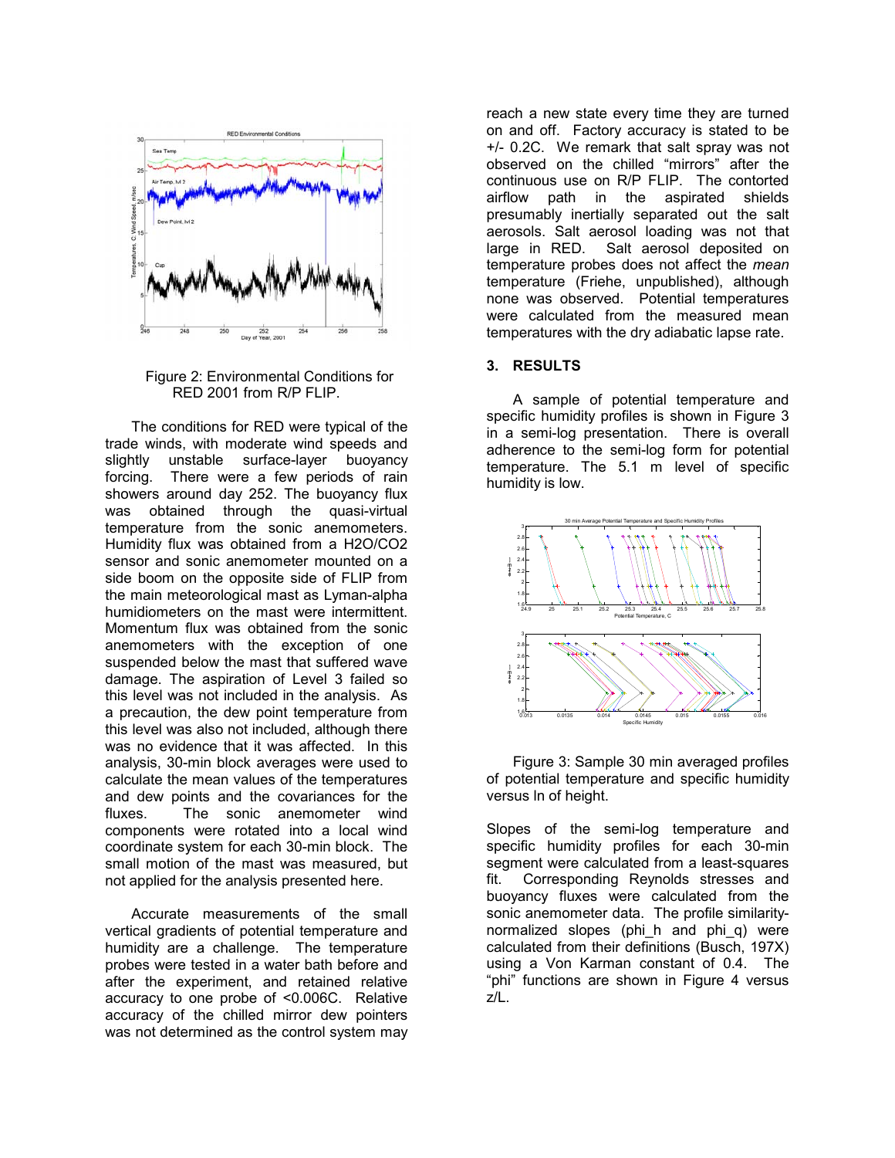

Figure 2: Environmental Conditions for RED 2001 from R/P FLIP.

The conditions for RED were typical of the trade winds, with moderate wind speeds and slightly unstable surface-layer buoyancy forcing. There were a few periods of rain showers around day 252. The buoyancy flux was obtained through the quasi-virtual temperature from the sonic anemometers. Humidity flux was obtained from a H2O/CO2 sensor and sonic anemometer mounted on a side boom on the opposite side of FLIP from the main meteorological mast as Lyman-alpha humidiometers on the mast were intermittent. Momentum flux was obtained from the sonic anemometers with the exception of one suspended below the mast that suffered wave damage. The aspiration of Level 3 failed so this level was not included in the analysis. As a precaution, the dew point temperature from this level was also not included, although there was no evidence that it was affected. In this analysis, 30-min block averages were used to calculate the mean values of the temperatures and dew points and the covariances for the fluxes. The sonic anemometer wind components were rotated into a local wind coordinate system for each 30-min block. The small motion of the mast was measured, but not applied for the analysis presented here.

Accurate measurements of the small vertical gradients of potential temperature and humidity are a challenge. The temperature probes were tested in a water bath before and after the experiment, and retained relative accuracy to one probe of <0.006C. Relative accuracy of the chilled mirror dew pointers was not determined as the control system may reach a new state every time they are turned on and off. Factory accuracy is stated to be +/- 0.2C. We remark that salt spray was not observed on the chilled "mirrors" after the continuous use on R/P FLIP. The contorted airflow path in the aspirated shields presumably inertially separated out the salt aerosols. Salt aerosol loading was not that large in RED. Salt aerosol deposited on temperature probes does not affect the *mean* temperature (Friehe, unpublished), although none was observed. Potential temperatures were calculated from the measured mean temperatures with the dry adiabatic lapse rate.

### **3. RESULTS**

A sample of potential temperature and specific humidity profiles is shown in Figure 3 in a semi-log presentation. There is overall adherence to the semi-log form for potential temperature. The 5.1 m level of specific humidity is low.



Figure 3: Sample 30 min averaged profiles of potential temperature and specific humidity versus ln of height.

Slopes of the semi-log temperature and specific humidity profiles for each 30-min segment were calculated from a least-squares fit. Corresponding Reynolds stresses and buoyancy fluxes were calculated from the sonic anemometer data. The profile similaritynormalized slopes (phi\_h and phi\_q) were calculated from their definitions (Busch, 197X) using a Von Karman constant of 0.4. The "phi" functions are shown in Figure 4 versus z/L.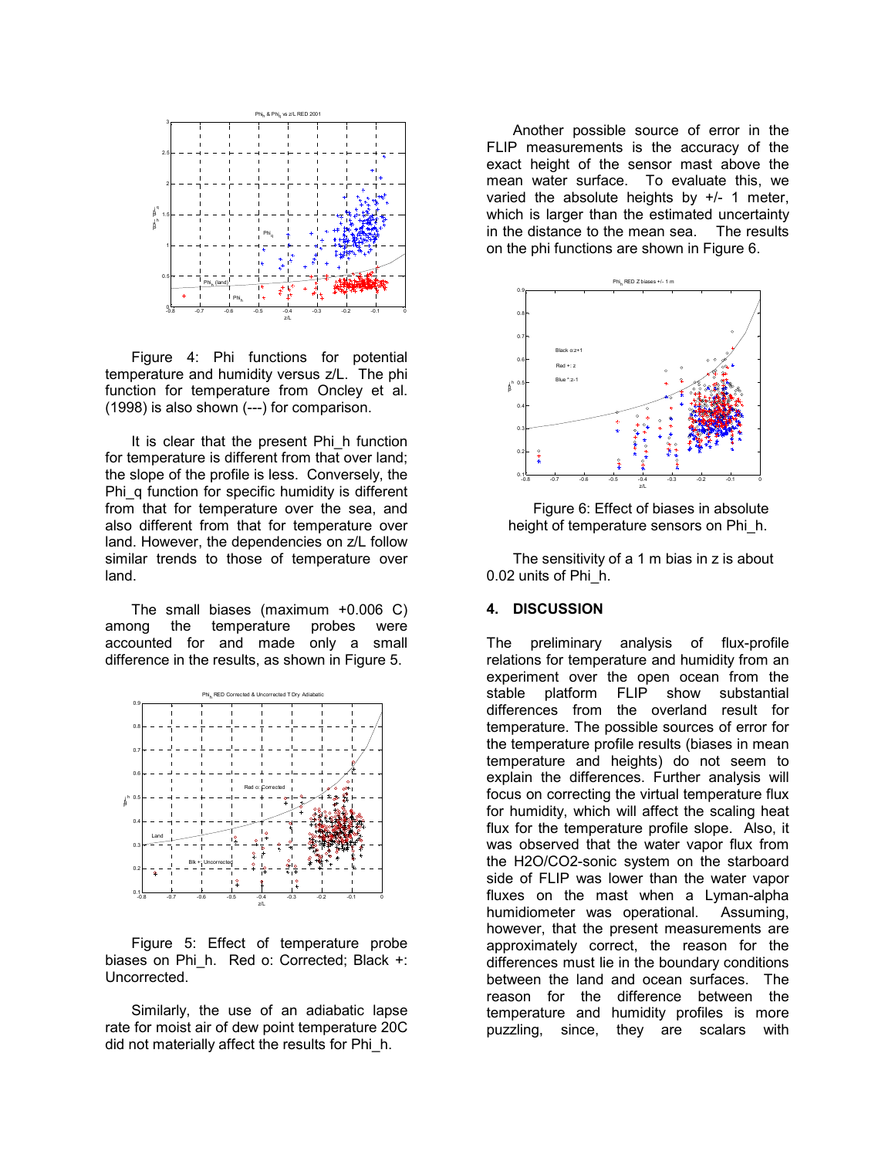

Figure 4: Phi functions for potential temperature and humidity versus z/L. The phi function for temperature from Oncley et al. (1998) is also shown (---) for comparison.

It is clear that the present Phi\_h function for temperature is different from that over land; the slope of the profile is less. Conversely, the Phi\_q function for specific humidity is different from that for temperature over the sea, and also different from that for temperature over land. However, the dependencies on z/L follow similar trends to those of temperature over land.

The small biases (maximum +0.006 C) among the temperature probes were accounted for and made only a small difference in the results, as shown in Figure 5.



Figure 5: Effect of temperature probe biases on Phi h. Red o: Corrected; Black +: Uncorrected.

Similarly, the use of an adiabatic lapse rate for moist air of dew point temperature 20C did not materially affect the results for Phi\_h.

Another possible source of error in the FLIP measurements is the accuracy of the exact height of the sensor mast above the mean water surface. To evaluate this, we varied the absolute heights by  $+/-$  1 meter, which is larger than the estimated uncertainty in the distance to the mean sea. The results on the phi functions are shown in Figure 6.



Figure 6: Effect of biases in absolute height of temperature sensors on Phi\_h.

The sensitivity of a 1 m bias in z is about 0.02 units of Phi\_h.

#### **4. DISCUSSION**

The preliminary analysis of flux-profile relations for temperature and humidity from an experiment over the open ocean from the stable platform FLIP show substantial differences from the overland result for temperature. The possible sources of error for the temperature profile results (biases in mean temperature and heights) do not seem to explain the differences. Further analysis will focus on correcting the virtual temperature flux for humidity, which will affect the scaling heat flux for the temperature profile slope. Also, it was observed that the water vapor flux from the H2O/CO2-sonic system on the starboard side of FLIP was lower than the water vapor fluxes on the mast when a Lyman-alpha humidiometer was operational. Assuming, however, that the present measurements are approximately correct, the reason for the differences must lie in the boundary conditions between the land and ocean surfaces. The reason for the difference between the temperature and humidity profiles is more puzzling, since, they are scalars with